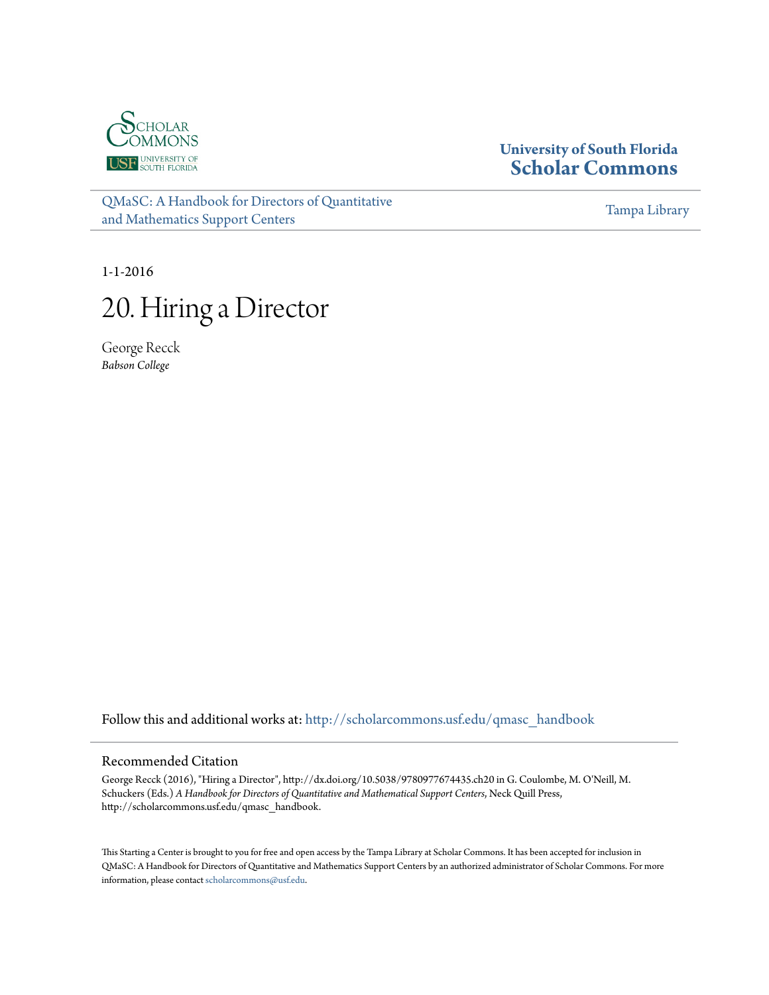<span id="page-0-0"></span>

## **University of South Florida [Scholar Commons](http://scholarcommons.usf.edu?utm_source=scholarcommons.usf.edu%2Fqmasc_handbook%2F20&utm_medium=PDF&utm_campaign=PDFCoverPages)**

[QMaSC: A Handbook for Directors of Quantitative](http://scholarcommons.usf.edu/qmasc_handbook?utm_source=scholarcommons.usf.edu%2Fqmasc_handbook%2F20&utm_medium=PDF&utm_campaign=PDFCoverPages) [and Mathematics Support Centers](http://scholarcommons.usf.edu/qmasc_handbook?utm_source=scholarcommons.usf.edu%2Fqmasc_handbook%2F20&utm_medium=PDF&utm_campaign=PDFCoverPages)

[Tampa Library](http://scholarcommons.usf.edu/tlib?utm_source=scholarcommons.usf.edu%2Fqmasc_handbook%2F20&utm_medium=PDF&utm_campaign=PDFCoverPages)

1-1-2016

# 20. Hiring a Director

George Recck *Babson College*

Follow this and additional works at: [http://scholarcommons.usf.edu/qmasc\\_handbook](http://scholarcommons.usf.edu/qmasc_handbook?utm_source=scholarcommons.usf.edu%2Fqmasc_handbook%2F20&utm_medium=PDF&utm_campaign=PDFCoverPages)

#### Recommended Citation

George Recck (2016), "Hiring a Director", http://dx.doi.org/10.5038/9780977674435.ch20 in G. Coulombe, M. O'Neill, M. Schuckers (Eds.) *A Handbook for Directors of Quantitative and Mathematical Support Centers*, Neck Quill Press, http://scholarcommons.usf.edu/qmasc\_handbook.

This Starting a Center is brought to you for free and open access by the Tampa Library at Scholar Commons. It has been accepted for inclusion in QMaSC: A Handbook for Directors of Quantitative and Mathematics Support Centers by an authorized administrator of Scholar Commons. For more information, please contact [scholarcommons@usf.edu.](mailto:scholarcommons@usf.edu)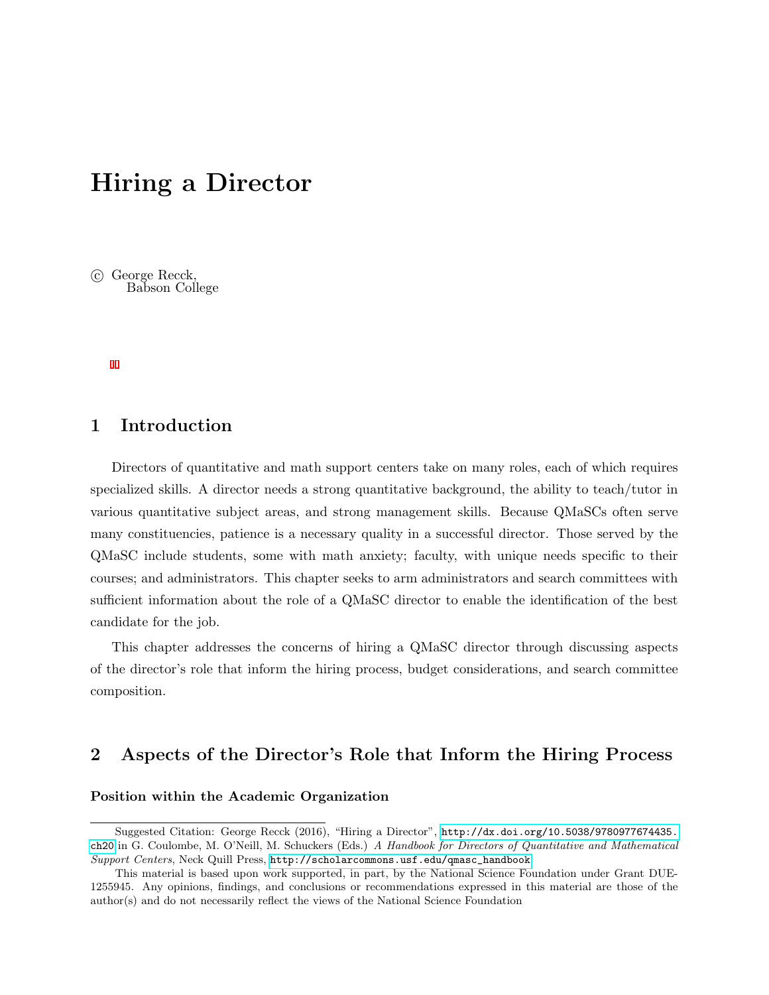## Hiring a Director

 c George Recck, Babson College

### 1 Introduction

Directors of quantitative and math support centers take on many roles, each of which requires specialized skills. A director needs a strong quantitative background, the ability to teach/tutor in various quantitative subject areas, and strong management skills. Because QMaSCs often serve many constituencies, patience is a necessary quality in a successful director. Those served by the QMaSC include students, some with math anxiety; faculty, with unique needs specific to their courses; and administrators. This chapter seeks to arm administrators and search committees with sufficient information about the role of a QMaSC director to enable the identification of the best candidate for the job.

This chapter addresses the concerns of hiring a QMaSC director through discussing aspects of the director's role that inform the hiring process, budget considerations, and search committee composition.

#### 2 Aspects of the Director's Role that Inform the Hiring Process

#### Position within the Academic Organization

Suggested Citation: George Recck (2016), "Hiring a Director", [http://dx.doi.org/10.5038/9780977674435.](http://dx.doi.org/10.5038/9780977674435.ch20) [ch20](http://dx.doi.org/10.5038/9780977674435.ch20) in G. Coulombe, M. O'Neill, M. Schuckers (Eds.) A Handbook for Directors of Quantitative and Mathematical Support Centers, Neck Quill Press, [http://scholarcommons.usf.edu/qmasc\\_handbook](http://scholarcommons.usf.edu/qmasc_handbook).

This material is based upon work supported, in part, by the National Science Foundation under Grant DUE-1255945. Any opinions, findings, and conclusions or recommendations expressed in this material are those of the author(s) and do not necessarily reflect the views of the National Science Foundation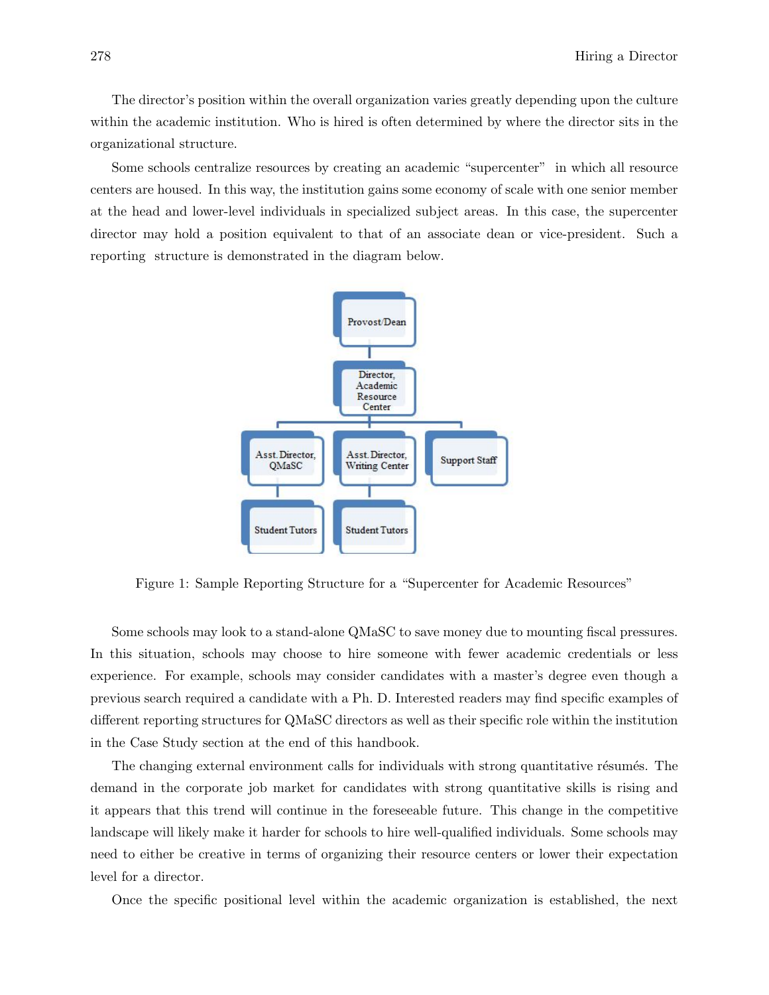The director's position within the overall organization varies greatly depending upon the culture within the academic institution. Who is hired is often determined by where the director sits in the organizational structure.

Some schools centralize resources by creating an academic "supercenter" in which all resource centers are housed. In this way, the institution gains some economy of scale with one senior member at the head and lower-level individuals in specialized subject areas. In this case, the supercenter director may hold a position equivalent to that of an associate dean or vice-president. Such a reporting structure is demonstrated in the diagram below.



Figure 1: Sample Reporting Structure for a "Supercenter for Academic Resources"

Some schools may look to a stand-alone QMaSC to save money due to mounting fiscal pressures. In this situation, schools may choose to hire someone with fewer academic credentials or less experience. For example, schools may consider candidates with a master's degree even though a previous search required a candidate with a Ph. D. Interested readers may find specific examples of different reporting structures for QMaSC directors as well as their specific role within the institution in the Case Study section at the end of this handbook.

The changing external environment calls for individuals with strong quantitative résumés. The demand in the corporate job market for candidates with strong quantitative skills is rising and it appears that this trend will continue in the foreseeable future. This change in the competitive landscape will likely make it harder for schools to hire well-qualified individuals. Some schools may need to either be creative in terms of organizing their resource centers or lower their expectation level for a director.

Once the specific positional level within the academic organization is established, the next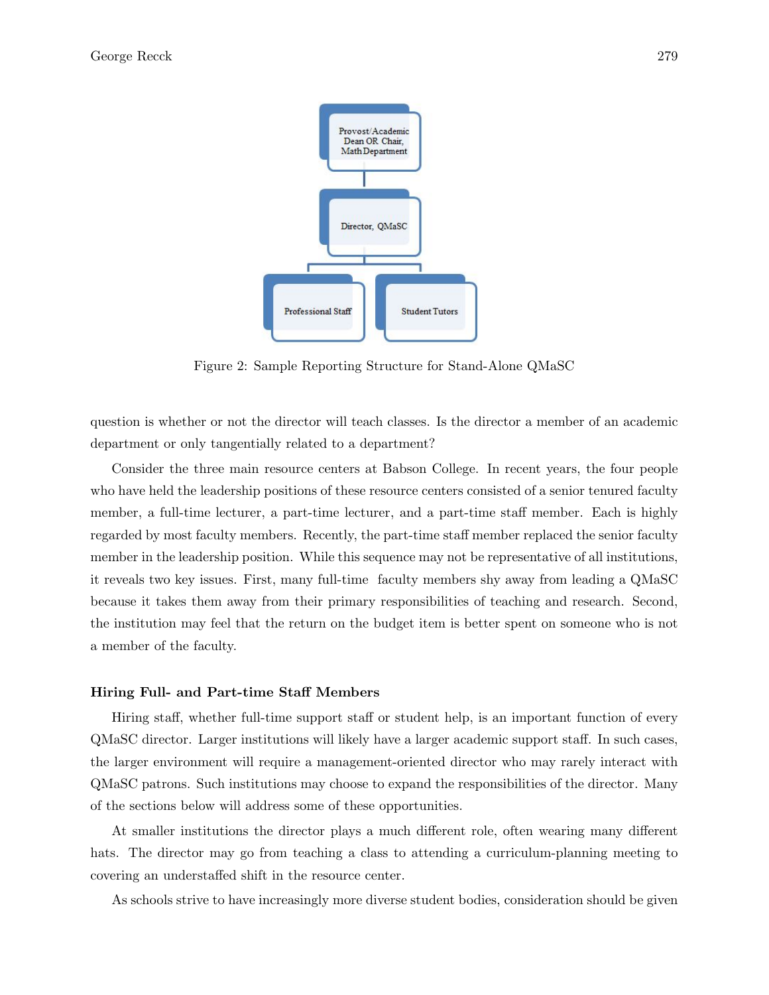

Figure 2: Sample Reporting Structure for Stand-Alone QMaSC

question is whether or not the director will teach classes. Is the director a member of an academic department or only tangentially related to a department?

Consider the three main resource centers at Babson College. In recent years, the four people who have held the leadership positions of these resource centers consisted of a senior tenured faculty member, a full-time lecturer, a part-time lecturer, and a part-time staff member. Each is highly regarded by most faculty members. Recently, the part-time staff member replaced the senior faculty member in the leadership position. While this sequence may not be representative of all institutions, it reveals two key issues. First, many full-time faculty members shy away from leading a QMaSC because it takes them away from their primary responsibilities of teaching and research. Second, the institution may feel that the return on the budget item is better spent on someone who is not a member of the faculty.

#### Hiring Full- and Part-time Staff Members

Hiring staff, whether full-time support staff or student help, is an important function of every QMaSC director. Larger institutions will likely have a larger academic support staff. In such cases, the larger environment will require a management-oriented director who may rarely interact with QMaSC patrons. Such institutions may choose to expand the responsibilities of the director. Many of the sections below will address some of these opportunities.

At smaller institutions the director plays a much different role, often wearing many different hats. The director may go from teaching a class to attending a curriculum-planning meeting to covering an understaffed shift in the resource center.

As schools strive to have increasingly more diverse student bodies, consideration should be given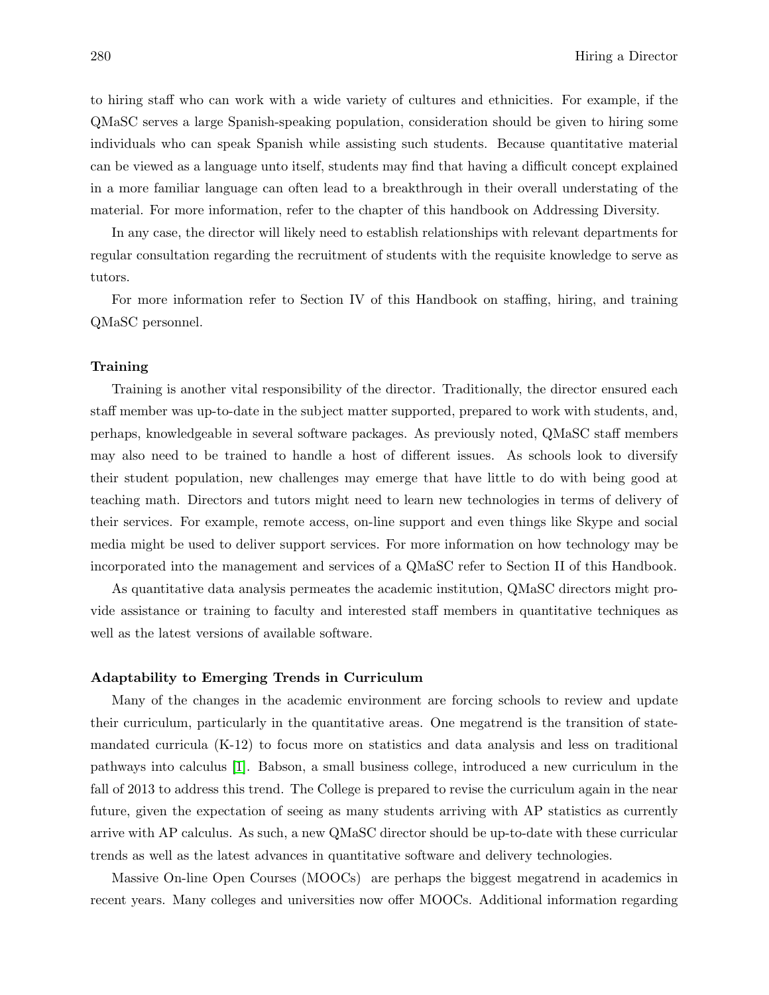to hiring staff who can work with a wide variety of cultures and ethnicities. For example, if the QMaSC serves a large Spanish-speaking population, consideration should be given to hiring some individuals who can speak Spanish while assisting such students. Because quantitative material can be viewed as a language unto itself, students may find that having a difficult concept explained in a more familiar language can often lead to a breakthrough in their overall understating of the material. For more information, refer to the chapter of this handbook on Addressing Diversity.

In any case, the director will likely need to establish relationships with relevant departments for regular consultation regarding the recruitment of students with the requisite knowledge to serve as tutors.

For more information refer to Section IV of this Handbook on staffing, hiring, and training QMaSC personnel.

#### Training

Training is another vital responsibility of the director. Traditionally, the director ensured each staff member was up-to-date in the subject matter supported, prepared to work with students, and, perhaps, knowledgeable in several software packages. As previously noted, QMaSC staff members may also need to be trained to handle a host of different issues. As schools look to diversify their student population, new challenges may emerge that have little to do with being good at teaching math. Directors and tutors might need to learn new technologies in terms of delivery of their services. For example, remote access, on-line support and even things like Skype and social media might be used to deliver support services. For more information on how technology may be incorporated into the management and services of a QMaSC refer to Section II of this Handbook.

As quantitative data analysis permeates the academic institution, QMaSC directors might provide assistance or training to faculty and interested staff members in quantitative techniques as well as the latest versions of available software.

#### Adaptability to Emerging Trends in Curriculum

Many of the changes in the academic environment are forcing schools to review and update their curriculum, particularly in the quantitative areas. One megatrend is the transition of statemandated curricula (K-12) to focus more on statistics and data analysis and less on traditional pathways into calculus [1]. Babson, a small business college, introduced a new curriculum in the fall of 2013 to address this trend. The College is prepared to revise the curriculum again in the near future, given the expectation of seeing as many students arriving with AP statistics as currently arrive with AP calculus. As such, a new QMaSC director should be up-to-date with these curricular trends as well as the latest advances in quantitative software and delivery technologies.

Massive On-line Open Courses (MOOCs) are perhaps the biggest megatrend in academics in recent years. Many colleges and universities now offer MOOCs. Additional information regarding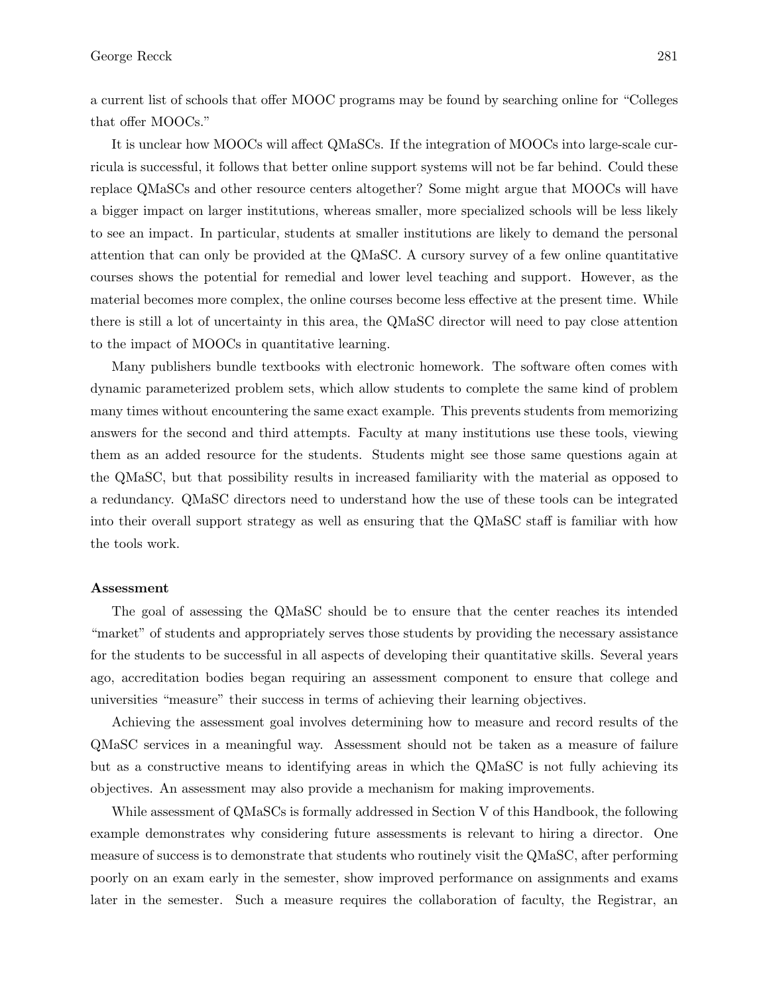a current list of schools that offer MOOC programs may be found by searching online for "Colleges that offer MOOCs."

It is unclear how MOOCs will affect QMaSCs. If the integration of MOOCs into large-scale curricula is successful, it follows that better online support systems will not be far behind. Could these replace QMaSCs and other resource centers altogether? Some might argue that MOOCs will have a bigger impact on larger institutions, whereas smaller, more specialized schools will be less likely to see an impact. In particular, students at smaller institutions are likely to demand the personal attention that can only be provided at the QMaSC. A cursory survey of a few online quantitative courses shows the potential for remedial and lower level teaching and support. However, as the material becomes more complex, the online courses become less effective at the present time. While there is still a lot of uncertainty in this area, the QMaSC director will need to pay close attention to the impact of MOOCs in quantitative learning.

Many publishers bundle textbooks with electronic homework. The software often comes with dynamic parameterized problem sets, which allow students to complete the same kind of problem many times without encountering the same exact example. This prevents students from memorizing answers for the second and third attempts. Faculty at many institutions use these tools, viewing them as an added resource for the students. Students might see those same questions again at the QMaSC, but that possibility results in increased familiarity with the material as opposed to a redundancy. QMaSC directors need to understand how the use of these tools can be integrated into their overall support strategy as well as ensuring that the QMaSC staff is familiar with how the tools work.

#### Assessment

The goal of assessing the QMaSC should be to ensure that the center reaches its intended "market" of students and appropriately serves those students by providing the necessary assistance for the students to be successful in all aspects of developing their quantitative skills. Several years ago, accreditation bodies began requiring an assessment component to ensure that college and universities "measure" their success in terms of achieving their learning objectives.

Achieving the assessment goal involves determining how to measure and record results of the QMaSC services in a meaningful way. Assessment should not be taken as a measure of failure but as a constructive means to identifying areas in which the QMaSC is not fully achieving its objectives. An assessment may also provide a mechanism for making improvements.

While assessment of QMaSCs is formally addressed in Section V of this Handbook, the following example demonstrates why considering future assessments is relevant to hiring a director. One measure of success is to demonstrate that students who routinely visit the QMaSC, after performing poorly on an exam early in the semester, show improved performance on assignments and exams later in the semester. Such a measure requires the collaboration of faculty, the Registrar, an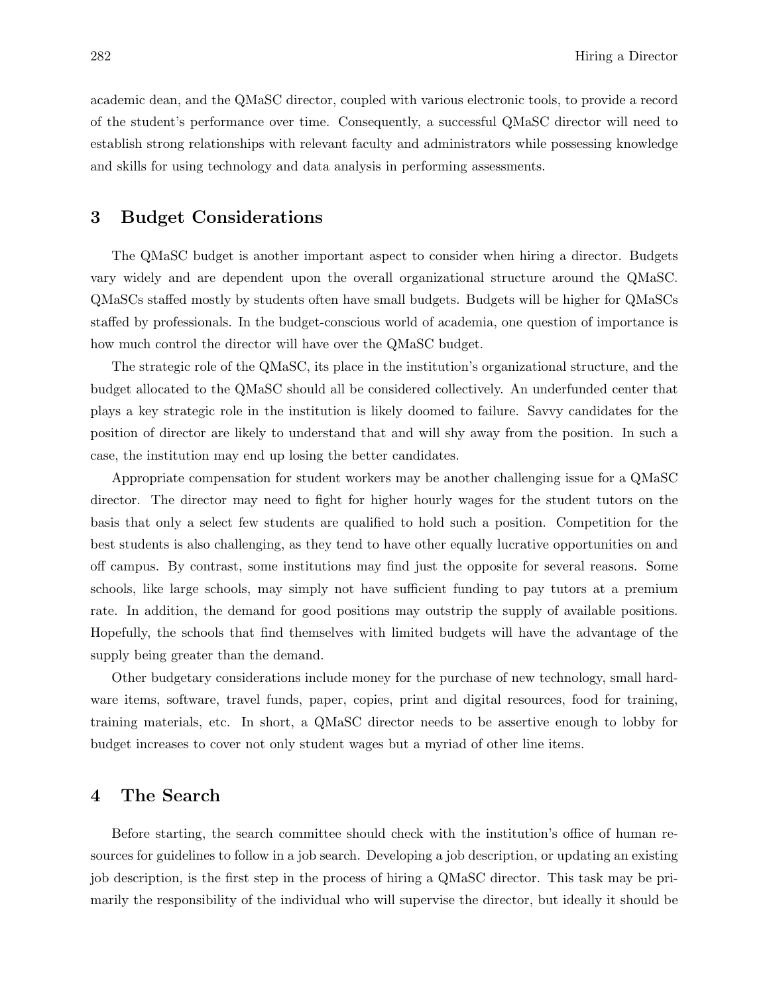academic dean, and the QMaSC director, coupled with various electronic tools, to provide a record of the student's performance over time. Consequently, a successful QMaSC director will need to establish strong relationships with relevant faculty and administrators while possessing knowledge and skills for using technology and data analysis in performing assessments.

#### 3 Budget Considerations

The QMaSC budget is another important aspect to consider when hiring a director. Budgets vary widely and are dependent upon the overall organizational structure around the QMaSC. QMaSCs staffed mostly by students often have small budgets. Budgets will be higher for QMaSCs staffed by professionals. In the budget-conscious world of academia, one question of importance is how much control the director will have over the QMaSC budget.

The strategic role of the QMaSC, its place in the institution's organizational structure, and the budget allocated to the QMaSC should all be considered collectively. An underfunded center that plays a key strategic role in the institution is likely doomed to failure. Savvy candidates for the position of director are likely to understand that and will shy away from the position. In such a case, the institution may end up losing the better candidates.

Appropriate compensation for student workers may be another challenging issue for a QMaSC director. The director may need to fight for higher hourly wages for the student tutors on the basis that only a select few students are qualified to hold such a position. Competition for the best students is also challenging, as they tend to have other equally lucrative opportunities on and off campus. By contrast, some institutions may find just the opposite for several reasons. Some schools, like large schools, may simply not have sufficient funding to pay tutors at a premium rate. In addition, the demand for good positions may outstrip the supply of available positions. Hopefully, the schools that find themselves with limited budgets will have the advantage of the supply being greater than the demand.

Other budgetary considerations include money for the purchase of new technology, small hardware items, software, travel funds, paper, copies, print and digital resources, food for training, training materials, etc. In short, a QMaSC director needs to be assertive enough to lobby for budget increases to cover not only student wages but a myriad of other line items.

#### 4 The Search

Before starting, the search committee should check with the institution's office of human resources for guidelines to follow in a job search. Developing a job description, or updating an existing job description, is the first step in the process of hiring a QMaSC director. This task may be primarily the responsibility of the individual who will supervise the director, but ideally it should be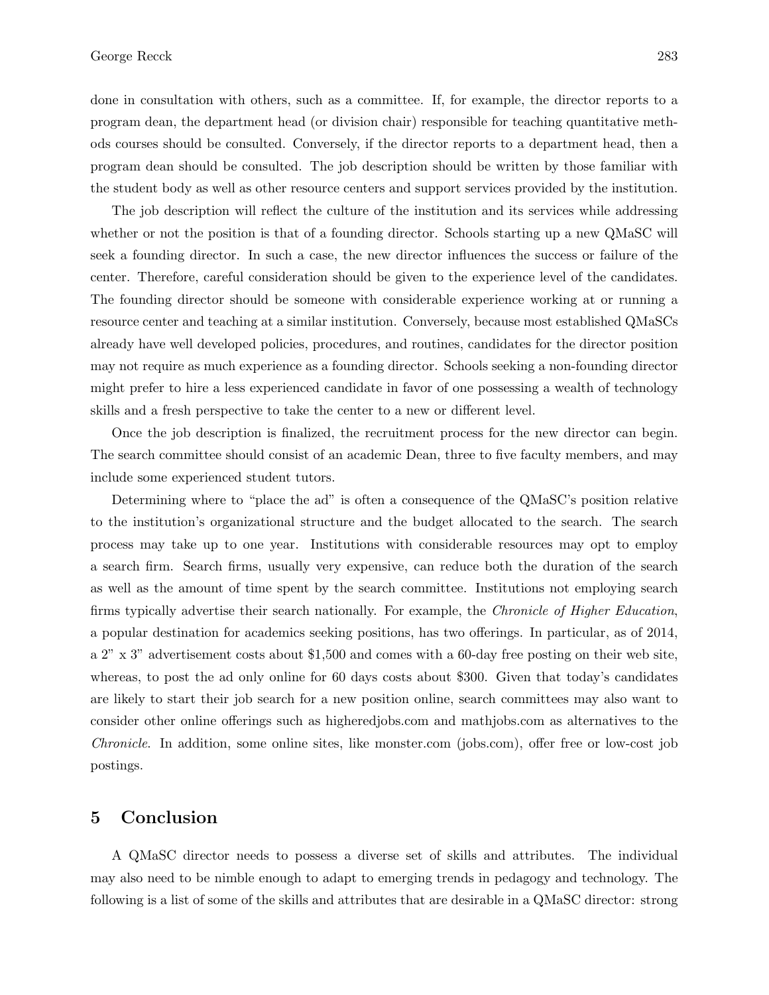done in consultation with others, such as a committee. If, for example, the director reports to a program dean, the department head (or division chair) responsible for teaching quantitative methods courses should be consulted. Conversely, if the director reports to a department head, then a program dean should be consulted. The job description should be written by those familiar with the student body as well as other resource centers and support services provided by the institution.

The job description will reflect the culture of the institution and its services while addressing whether or not the position is that of a founding director. Schools starting up a new QMaSC will seek a founding director. In such a case, the new director influences the success or failure of the center. Therefore, careful consideration should be given to the experience level of the candidates. The founding director should be someone with considerable experience working at or running a resource center and teaching at a similar institution. Conversely, because most established QMaSCs already have well developed policies, procedures, and routines, candidates for the director position may not require as much experience as a founding director. Schools seeking a non-founding director might prefer to hire a less experienced candidate in favor of one possessing a wealth of technology skills and a fresh perspective to take the center to a new or different level.

Once the job description is finalized, the recruitment process for the new director can begin. The search committee should consist of an academic Dean, three to five faculty members, and may include some experienced student tutors.

Determining where to "place the ad" is often a consequence of the QMaSC's position relative to the institution's organizational structure and the budget allocated to the search. The search process may take up to one year. Institutions with considerable resources may opt to employ a search firm. Search firms, usually very expensive, can reduce both the duration of the search as well as the amount of time spent by the search committee. Institutions not employing search firms typically advertise their search nationally. For example, the *Chronicle of Higher Education*, a popular destination for academics seeking positions, has two offerings. In particular, as of 2014, a 2" x 3" advertisement costs about \$1,500 and comes with a 60-day free posting on their web site, whereas, to post the ad only online for 60 days costs about \$300. Given that today's candidates are likely to start their job search for a new position online, search committees may also want to consider other online offerings such as higheredjobs.com and mathjobs.com as alternatives to the Chronicle. In addition, some online sites, like monster.com (jobs.com), offer free or low-cost job postings.

### 5 Conclusion

A QMaSC director needs to possess a diverse set of skills and attributes. The individual may also need to be nimble enough to adapt to emerging trends in pedagogy and technology. The following is a list of some of the skills and attributes that are desirable in a QMaSC director: strong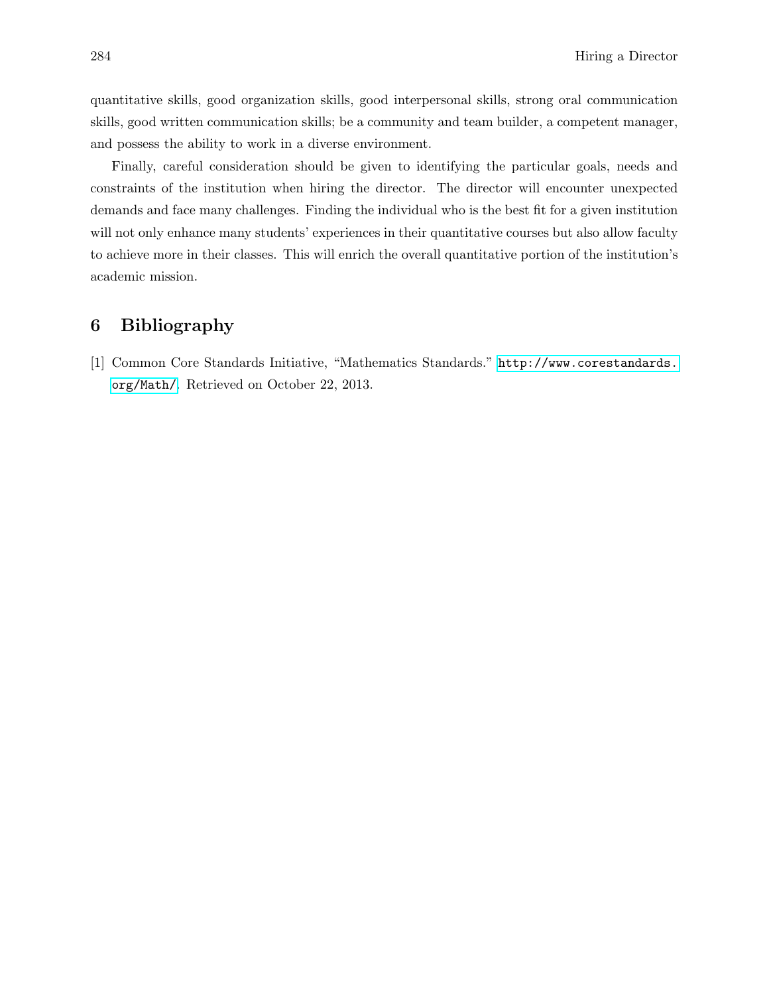quantitative skills, good organization skills, good interpersonal skills, strong oral communication skills, good written communication skills; be a community and team builder, a competent manager, and possess the ability to work in a diverse environment.

Finally, careful consideration should be given to identifying the particular goals, needs and constraints of the institution when hiring the director. The director will encounter unexpected demands and face many challenges. Finding the individual who is the best fit for a given institution will not only enhance many students' experiences in their quantitative courses but also allow faculty to achieve more in their classes. This will enrich the overall quantitative portion of the institution's academic mission.

## 6 Bibliography

[1] Common Core Standards Initiative, "Mathematics Standards." [http://www.corestandards.](http://www.corestandards.org/Math/) [org/Math/](http://www.corestandards.org/Math/). Retrieved on October 22, 2013.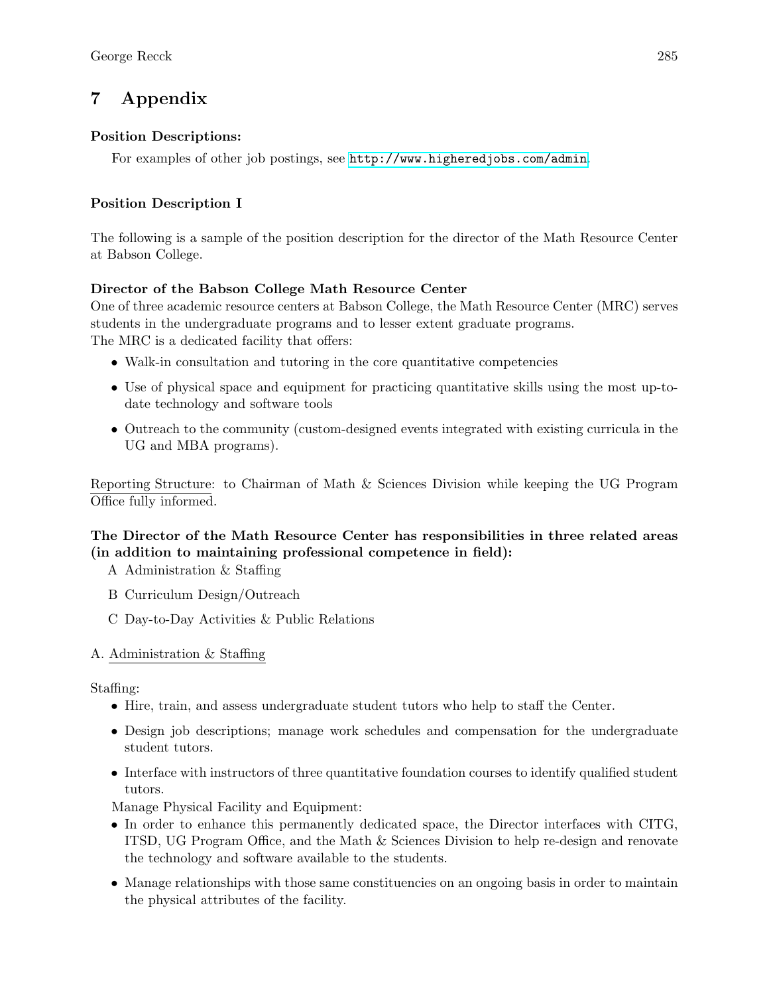## 7 Appendix

## Position Descriptions:

For examples of other job postings, see <http://www.higheredjobs.com/admin>.

## Position Description I

The following is a sample of the position description for the director of the Math Resource Center at Babson College.

## Director of the Babson College Math Resource Center

One of three academic resource centers at Babson College, the Math Resource Center (MRC) serves students in the undergraduate programs and to lesser extent graduate programs. The MRC is a dedicated facility that offers:

- Walk-in consultation and tutoring in the core quantitative competencies
- Use of physical space and equipment for practicing quantitative skills using the most up-todate technology and software tools
- Outreach to the community (custom-designed events integrated with existing curricula in the UG and MBA programs).

Reporting Structure: to Chairman of Math & Sciences Division while keeping the UG Program Office fully informed.

## The Director of the Math Resource Center has responsibilities in three related areas (in addition to maintaining professional competence in field):

- A Administration & Staffing
- B Curriculum Design/Outreach
- C Day-to-Day Activities & Public Relations

## A. Administration & Staffing

Staffing:

- Hire, train, and assess undergraduate student tutors who help to staff the Center.
- Design job descriptions; manage work schedules and compensation for the undergraduate student tutors.
- Interface with instructors of three quantitative foundation courses to identify qualified student tutors.

Manage Physical Facility and Equipment:

- In order to enhance this permanently dedicated space, the Director interfaces with CITG, ITSD, UG Program Office, and the Math & Sciences Division to help re-design and renovate the technology and software available to the students.
- Manage relationships with those same constituencies on an ongoing basis in order to maintain the physical attributes of the facility.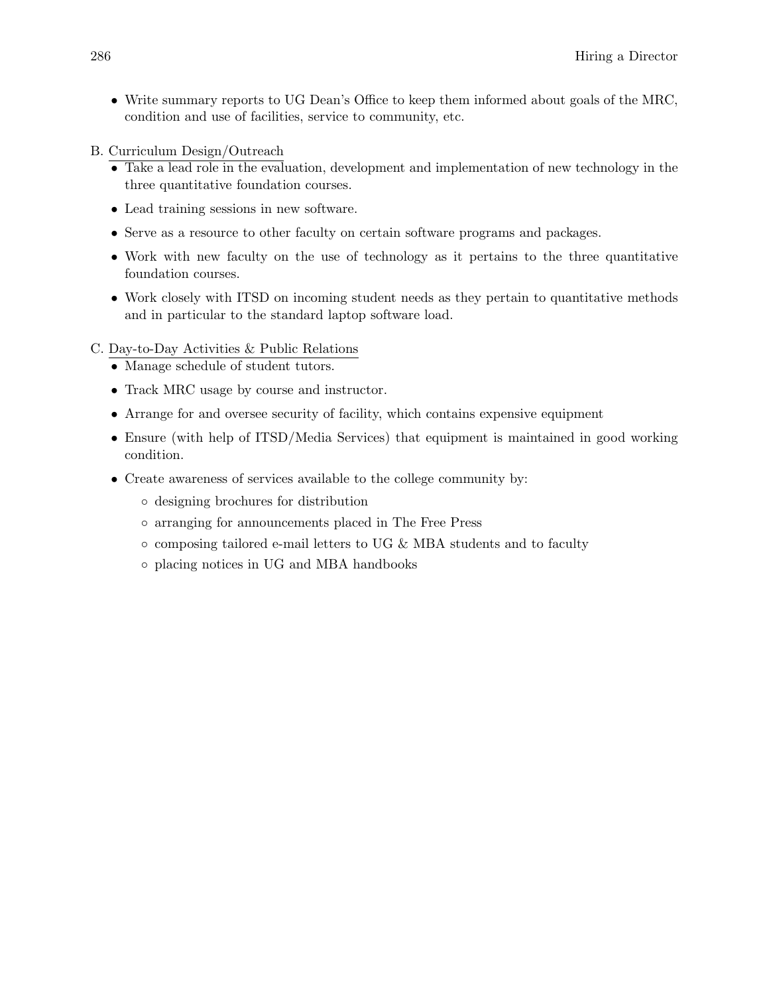- Write summary reports to UG Dean's Office to keep them informed about goals of the MRC, condition and use of facilities, service to community, etc.
- B. Curriculum Design/Outreach
	- Take a lead role in the evaluation, development and implementation of new technology in the three quantitative foundation courses.
	- Lead training sessions in new software.
	- Serve as a resource to other faculty on certain software programs and packages.
	- Work with new faculty on the use of technology as it pertains to the three quantitative foundation courses.
	- Work closely with ITSD on incoming student needs as they pertain to quantitative methods and in particular to the standard laptop software load.

#### C. Day-to-Day Activities & Public Relations

- Manage schedule of student tutors.
- Track MRC usage by course and instructor.
- Arrange for and oversee security of facility, which contains expensive equipment
- Ensure (with help of ITSD/Media Services) that equipment is maintained in good working condition.
- Create awareness of services available to the college community by:
	- designing brochures for distribution
	- arranging for announcements placed in The Free Press
	- $\circ$  composing tailored e-mail letters to UG & MBA students and to faculty
	- placing notices in UG and MBA handbooks